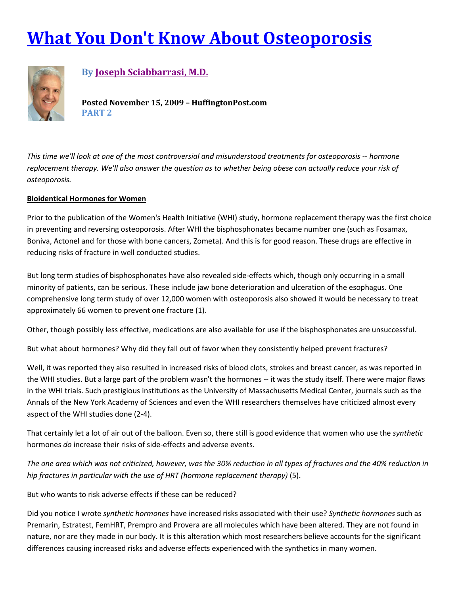# **[What You Don't Know About Osteoporosis](http://www.huffingtonpost.com/joseph-sciabbarrasi-md/what-you-dont-know-about_b_357304.html)**



**By [Joseph Sciabbarrasi,](http://www.huffingtonpost.com/joseph-sciabbarrasi-md) M.D.**

**Posted November 15, 2009 – HuffingtonPost.com PART 2**

*This time we'll look at one of the most controversial and misunderstood treatments for osteoporosis -- hormone replacement therapy. We'll also answer the question as to whether being obese can actually reduce your risk of osteoporosis.*

## **Bioidentical Hormones for Women**

Prior to the publication of the Women's Health Initiative (WHI) study, hormone replacement therapy was the first choice in preventing and reversing osteoporosis. After WHI the bisphosphonates became number one (such as Fosamax, Boniva, Actonel and for those with bone cancers, Zometa). And this is for good reason. These drugs are effective in reducing risks of fracture in well conducted studies.

But long term studies of bisphosphonates have also revealed side-effects which, though only occurring in a small minority of patients, can be serious. These include jaw bone deterioration and ulceration of the esophagus. One comprehensive long term study of over 12,000 women with osteoporosis also showed it would be necessary to treat approximately 66 women to prevent one fracture (1).

Other, though possibly less effective, medications are also available for use if the bisphosphonates are unsuccessful.

But what about hormones? Why did they fall out of favor when they consistently helped prevent fractures?

Well, it was reported they also resulted in increased risks of blood clots, strokes and breast cancer, as was reported in the WHI studies. But a large part of the problem wasn't the hormones -- it was the study itself. There were major flaws in the WHI trials. Such prestigious institutions as the University of Massachusetts Medical Center, journals such as the Annals of the New York Academy of Sciences and even the WHI researchers themselves have criticized almost every aspect of the WHI studies done (2-4).

That certainly let a lot of air out of the balloon. Even so, there still is good evidence that women who use the *synthetic* hormones *do* increase their risks of side-effects and adverse events.

*The one area which was not criticized, however, was the 30% reduction in all types of fractures and the 40% reduction in hip fractures in particular with the use of HRT (hormone replacement therapy)* (5).

But who wants to risk adverse effects if these can be reduced?

Did you notice I wrote *synthetic hormones* have increased risks associated with their use? *Synthetic hormones* such as Premarin, Estratest, FemHRT, Prempro and Provera are all molecules which have been altered. They are not found in nature, nor are they made in our body. It is this alteration which most researchers believe accounts for the significant differences causing increased risks and adverse effects experienced with the synthetics in many women.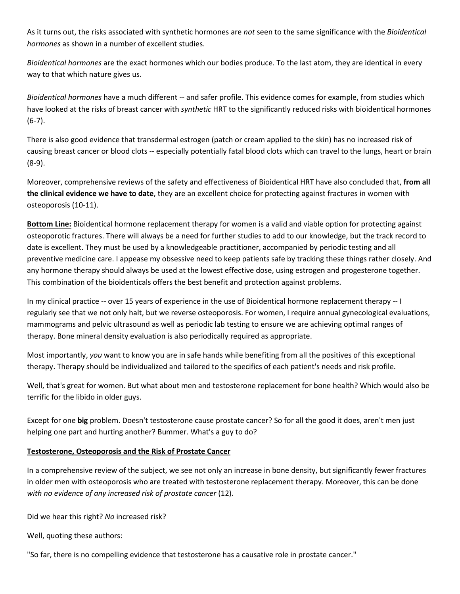As it turns out, the risks associated with synthetic hormones are *not* seen to the same significance with the *Bioidentical hormones* as shown in a number of excellent studies.

*Bioidentical hormones* are the exact hormones which our bodies produce. To the last atom, they are identical in every way to that which nature gives us.

*Bioidentical hormones* have a much different -- and safer profile. This evidence comes for example, from studies which have looked at the risks of breast cancer with *synthetic* HRT to the significantly reduced risks with bioidentical hormones  $(6-7)$ .

There is also good evidence that transdermal estrogen (patch or cream applied to the skin) has no increased risk of causing breast cancer or blood clots -- especially potentially fatal blood clots which can travel to the lungs, heart or brain (8-9).

Moreover, comprehensive reviews of the safety and effectiveness of Bioidentical HRT have also concluded that, **from all the clinical evidence we have to date**, they are an excellent choice for protecting against fractures in women with osteoporosis (10-11).

**Bottom Line:** Bioidentical hormone replacement therapy for women is a valid and viable option for protecting against osteoporotic fractures. There will always be a need for further studies to add to our knowledge, but the track record to date is excellent. They must be used by a knowledgeable practitioner, accompanied by periodic testing and all preventive medicine care. I appease my obsessive need to keep patients safe by tracking these things rather closely. And any hormone therapy should always be used at the lowest effective dose, using estrogen and progesterone together. This combination of the bioidenticals offers the best benefit and protection against problems.

In my clinical practice -- over 15 years of experience in the use of Bioidentical hormone replacement therapy -- I regularly see that we not only halt, but we reverse osteoporosis. For women, I require annual gynecological evaluations, mammograms and pelvic ultrasound as well as periodic lab testing to ensure we are achieving optimal ranges of therapy. Bone mineral density evaluation is also periodically required as appropriate.

Most importantly, *you* want to know you are in safe hands while benefiting from all the positives of this exceptional therapy. Therapy should be individualized and tailored to the specifics of each patient's needs and risk profile.

Well, that's great for women. But what about men and testosterone replacement for bone health? Which would also be terrific for the libido in older guys.

Except for one **big** problem. Doesn't testosterone cause prostate cancer? So for all the good it does, aren't men just helping one part and hurting another? Bummer. What's a guy to do?

# **Testosterone, Osteoporosis and the Risk of Prostate Cancer**

In a comprehensive review of the subject, we see not only an increase in bone density, but significantly fewer fractures in older men with osteoporosis who are treated with testosterone replacement therapy. Moreover, this can be done *with no evidence of any increased risk of prostate cancer* (12).

Did we hear this right? *No* increased risk?

Well, quoting these authors:

"So far, there is no compelling evidence that testosterone has a causative role in prostate cancer."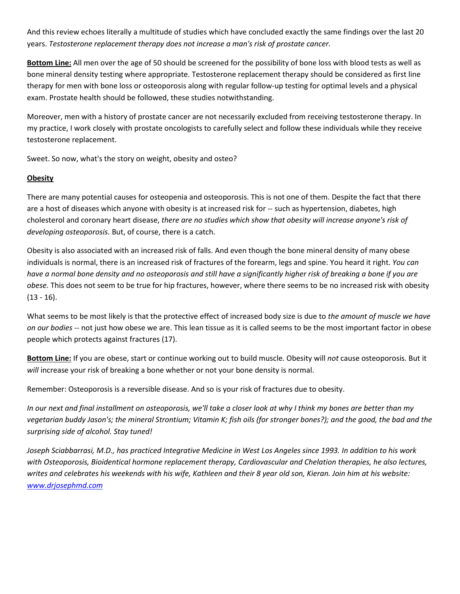And this review echoes literally a multitude of studies which have concluded exactly the same findings over the last 20 years. *Testosterone replacement therapy does not increase a man's risk of prostate cancer.*

**Bottom Line:** All men over the age of 50 should be screened for the possibility of bone loss with blood tests as well as bone mineral density testing where appropriate. Testosterone replacement therapy should be considered as first line therapy for men with bone loss or osteoporosis along with regular follow-up testing for optimal levels and a physical exam. Prostate health should be followed, these studies notwithstanding.

Moreover, men with a history of prostate cancer are not necessarily excluded from receiving testosterone therapy. In my practice, I work closely with prostate oncologists to carefully select and follow these individuals while they receive testosterone replacement.

Sweet. So now, what's the story on weight, obesity and osteo?

## **Obesity**

There are many potential causes for osteopenia and osteoporosis. This is not one of them. Despite the fact that there are a host of diseases which anyone with obesity is at increased risk for -- such as hypertension, diabetes, high cholesterol and coronary heart disease, *there are no studies which show that obesity will increase anyone's risk of developing osteoporosis.* But, of course, there is a catch.

Obesity is also associated with an increased risk of falls. And even though the bone mineral density of many obese individuals is normal, there is an increased risk of fractures of the forearm, legs and spine. You heard it right. *You can have a normal bone density and no osteoporosis and still have a significantly higher risk of breaking a bone if you are obese.* This does not seem to be true for hip fractures, however, where there seems to be no increased risk with obesity  $(13 - 16)$ .

What seems to be most likely is that the protective effect of increased body size is due to *the amount of muscle we have on our bodies* -- not just how obese we are. This lean tissue as it is called seems to be the most important factor in obese people which protects against fractures (17).

**Bottom Line:** If you are obese, start or continue working out to build muscle. Obesity will *not* cause osteoporosis. But it *will* increase your risk of breaking a bone whether or not your bone density is normal.

Remember: Osteoporosis is a reversible disease. And so is your risk of fractures due to obesity.

*In our next and final installment on osteoporosis, we'll take a closer look at why I think my bones are better than my vegetarian buddy Jason's; the mineral Strontium; Vitamin K; fish oils (for stronger bones?); and the good, the bad and the surprising side of alcohol. Stay tuned!*

*Joseph Sciabbarrasi, M.D., has practiced Integrative Medicine in West Los Angeles since 1993. In addition to his work with Osteoporosis, Bioidentical hormone replacement therapy, Cardiovascular and Chelation therapies, he also lectures, writes and celebrates his weekends with his wife, Kathleen and their 8 year old son, Kieran. Join him at his website: [www.drjosephmd.com](http://www.drjosephmd.com/)*